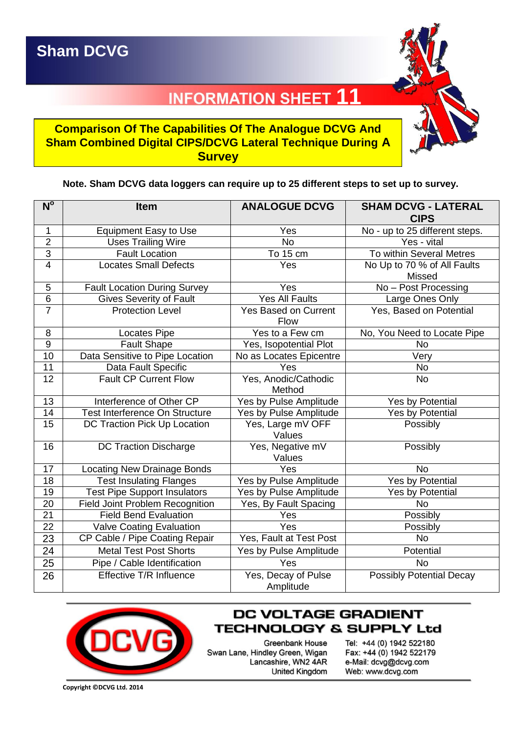## **11 INFORMATION SHEET**

## **Comparison Of The Capabilities Of The Analogue DCVG And Sham Combined Digital CIPS/DCVG Lateral Technique During A Survey**

## **Note. Sham DCVG data loggers can require up to 25 different steps to set up to survey.**

| $N^{\circ}$     | <b>Item</b>                            | <b>ANALOGUE DCVG</b>                | <b>SHAM DCVG - LATERAL</b><br><b>CIPS</b> |
|-----------------|----------------------------------------|-------------------------------------|-------------------------------------------|
| 1               | <b>Equipment Easy to Use</b>           | Yes                                 | No - up to 25 different steps.            |
| $\overline{2}$  | <b>Uses Trailing Wire</b>              | <b>No</b>                           | Yes - vital                               |
| $\overline{3}$  | <b>Fault Location</b>                  | To 15 cm                            | To within Several Metres                  |
| $\overline{4}$  | <b>Locates Small Defects</b>           | Yes                                 | No Up to 70 % of All Faults<br>Missed     |
| $\mathbf 5$     | <b>Fault Location During Survey</b>    | Yes                                 | No - Post Processing                      |
| $\overline{6}$  | <b>Gives Severity of Fault</b>         | <b>Yes All Faults</b>               | Large Ones Only                           |
| $\overline{7}$  | <b>Protection Level</b>                | <b>Yes Based on Current</b><br>Flow | Yes, Based on Potential                   |
| 8               | Locates Pipe                           | Yes to a Few cm                     | No, You Need to Locate Pipe               |
| $\overline{9}$  | <b>Fault Shape</b>                     | Yes, Isopotential Plot              | <b>No</b>                                 |
| $\overline{10}$ | Data Sensitive to Pipe Location        | No as Locates Epicentre             | Very                                      |
| 11              | Data Fault Specific                    | Yes                                 | No                                        |
| $\overline{12}$ | <b>Fault CP Current Flow</b>           | Yes, Anodic/Cathodic<br>Method      | <b>No</b>                                 |
| 13              | Interference of Other CP               | <b>Yes by Pulse Amplitude</b>       | Yes by Potential                          |
| 14              | Test Interference On Structure         | Yes by Pulse Amplitude              | Yes by Potential                          |
| 15              | DC Traction Pick Up Location           | Yes, Large mV OFF<br>Values         | Possibly                                  |
| 16              | <b>DC Traction Discharge</b>           | Yes, Negative mV<br>Values          | Possibly                                  |
| 17              | Locating New Drainage Bonds            | Yes                                 | <b>No</b>                                 |
| 18              | <b>Test Insulating Flanges</b>         | Yes by Pulse Amplitude              | <b>Yes by Potential</b>                   |
| 19              | <b>Test Pipe Support Insulators</b>    | Yes by Pulse Amplitude              | Yes by Potential                          |
| 20              | <b>Field Joint Problem Recognition</b> | Yes, By Fault Spacing               | <b>No</b>                                 |
| $\overline{21}$ | <b>Field Bend Evaluation</b>           | Yes                                 | Possibly                                  |
| 22              | <b>Valve Coating Evaluation</b>        | Yes                                 | Possibly                                  |
| 23              | CP Cable / Pipe Coating Repair         | Yes, Fault at Test Post             | <b>No</b>                                 |
| 24              | <b>Metal Test Post Shorts</b>          | Yes by Pulse Amplitude              | Potential                                 |
| 25              | Pipe / Cable Identification            | Yes                                 | <b>No</b>                                 |
| 26              | Effective T/R Influence                | Yes, Decay of Pulse<br>Amplitude    | <b>Possibly Potential Decay</b>           |



## DC VOLTAGE GRADIENT **TECHNOLOGY & SUPPLY Ltd**

Greenbank House Swan Lane, Hindley Green, Wigan Lancashire, WN2 4AR **United Kingdom** 

Tel: +44 (0) 1942 522180 Fax: +44 (0) 1942 522179 e-Mail: dcvg@dcvg.com Web: www.dcvg.com

**Copyright ©DCVG Ltd. 2014**